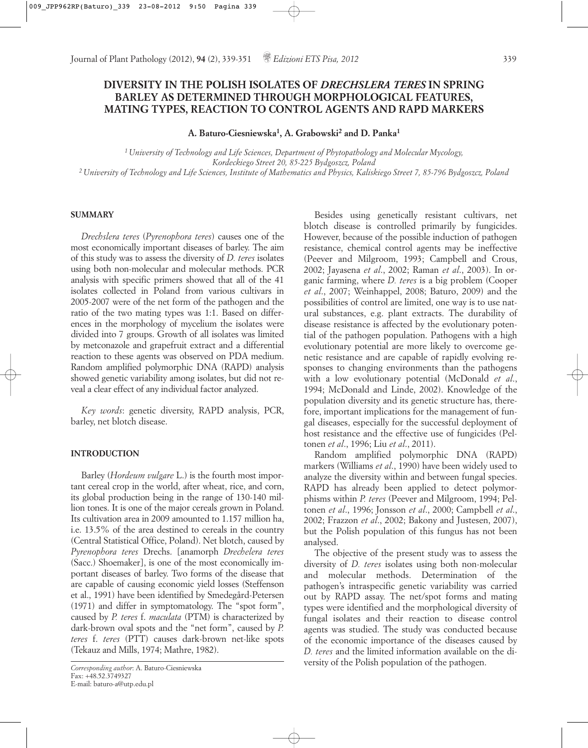# **DIVERSITY IN THE POLISH ISOLATES OF** *DRECHSLERA TERES* **IN SPRING BARLEY AS DETERMINED THROUGH MORPHOLOGICAL FEATURES, MATING TYPES, REACTION TO CONTROL AGENTS AND RAPD MARKERS**

**A. Baturo-Ciesniewska1, A. Grabowski2 and D. Panka1**

*1 University of Technology and Life Sciences, Department of Phytopathology and Molecular Mycology, Kordeckiego Street 20, 85-225 Bydgoszcz, Poland 2 University of Technology and Life Sciences, Institute of Mathematics and Physics, Kaliskiego Street 7, 85-796 Bydgoszcz, Poland*

# **SUMMARY**

*Drechslera teres* (*Pyrenophora teres*) causes one of the most economically important diseases of barley. The aim of this study was to assess the diversity of *D. teres* isolates using both non-molecular and molecular methods. PCR analysis with specific primers showed that all of the 41 isolates collected in Poland from various cultivars in 2005-2007 were of the net form of the pathogen and the ratio of the two mating types was 1:1. Based on differences in the morphology of mycelium the isolates were divided into 7 groups. Growth of all isolates was limited by metconazole and grapefruit extract and a differential reaction to these agents was observed on PDA medium. Random amplified polymorphic DNA (RAPD) analysis showed genetic variability among isolates, but did not reveal a clear effect of any individual factor analyzed.

*Key words*: genetic diversity, RAPD analysis, PCR, barley, net blotch disease.

# **INTRODUCTION**

Barley (*Hordeum vulgare* L.) is the fourth most important cereal crop in the world, after wheat, rice, and corn, its global production being in the range of 130-140 million tones. It is one of the major cereals grown in Poland. Its cultivation area in 2009 amounted to 1.157 million ha, i.e. 13.5% of the area destined to cereals in the country (Central Statistical Office, Poland). Net blotch, caused by *Pyrenophora teres* Drechs. [anamorph *Drechelera teres* (Sacc.) Shoemaker], is one of the most economically important diseases of barley. Two forms of the disease that are capable of causing economic yield losses (Steffenson et al., 1991) have been identified by Smedegård-Petersen (1971) and differ in symptomatology. The "spot form", caused by *P. teres* f. *maculata* (PTM) is characterized by dark-brown oval spots and the "net form", caused by *P. teres* f. *teres* (PTT) causes dark-brown net-like spots (Tekauz and Mills, 1974; Mathre, 1982).

Besides using genetically resistant cultivars, net blotch disease is controlled primarily by fungicides. However, because of the possible induction of pathogen resistance, chemical control agents may be ineffective (Peever and Milgroom, 1993; Campbell and Crous, 2002; Jayasena *et al*., 2002; Raman *et al*., 2003). In organic farming, where *D. teres* is a big problem (Cooper *et al*., 2007; Weinhappel, 2008; Baturo, 2009) and the possibilities of control are limited, one way is to use natural substances, e.g. plant extracts. The durability of disease resistance is affected by the evolutionary potential of the pathogen population. Pathogens with a high evolutionary potential are more likely to overcome genetic resistance and are capable of rapidly evolving responses to changing environments than the pathogens with a low evolutionary potential (McDonald *et al*., 1994; McDonald and Linde, 2002). Knowledge of the population diversity and its genetic structure has, therefore, important implications for the management of fungal diseases, especially for the successful deployment of host resistance and the effective use of fungicides (Peltonen *et al*., 1996; Liu *et al*., 2011).

Random amplified polymorphic DNA (RAPD) markers (Williams *et al*., 1990) have been widely used to analyze the diversity within and between fungal species. RAPD has already been applied to detect polymorphisms within *P. teres* (Peever and Milgroom, 1994; Peltonen *et al*., 1996; Jonsson *et al*., 2000; Campbell *et al*., 2002; Frazzon *et al*., 2002; Bakony and Justesen, 2007), but the Polish population of this fungus has not been analysed.

The objective of the present study was to assess the diversity of *D. teres* isolates using both non-molecular and molecular methods. Determination of the pathogen's intraspecific genetic variability was carried out by RAPD assay. The net/spot forms and mating types were identified and the morphological diversity of fungal isolates and their reaction to disease control agents was studied. The study was conducted because of the economic importance of the diseases caused by *D. teres* and the limited information available on the diversity of the Polish population of the pathogen.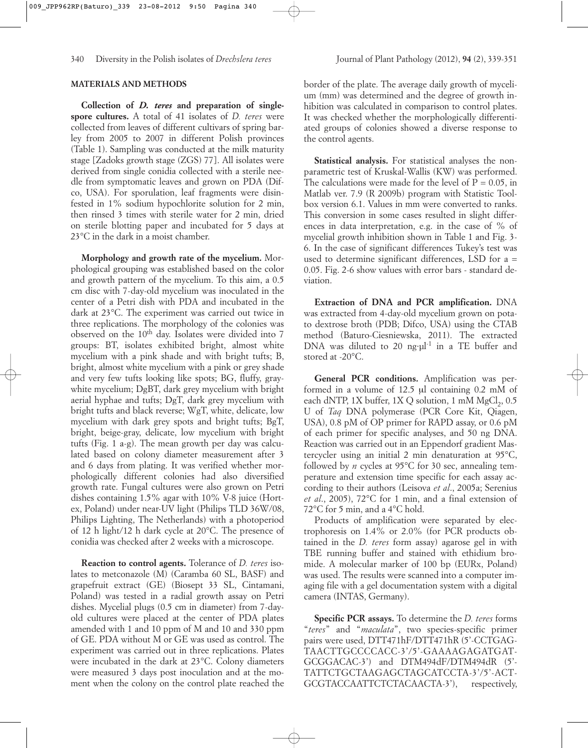**Collection of** *D. teres* **and preparation of singlespore cultures.** A total of 41 isolates of *D. teres* were collected from leaves of different cultivars of spring barley from 2005 to 2007 in different Polish provinces (Table 1). Sampling was conducted at the milk maturity stage [Zadoks growth stage (ZGS) 77]. All isolates were derived from single conidia collected with a sterile needle from symptomatic leaves and grown on PDA (Difco, USA). For sporulation, leaf fragments were disinfested in 1% sodium hypochlorite solution for 2 min, then rinsed 3 times with sterile water for 2 min, dried on sterile blotting paper and incubated for 5 days at 23°C in the dark in a moist chamber.

**Morphology and growth rate of the mycelium.** Morphological grouping was established based on the color and growth pattern of the mycelium. To this aim, a 0.5 cm disc with 7-day-old mycelium was inoculated in the center of a Petri dish with PDA and incubated in the dark at 23°C. The experiment was carried out twice in three replications. The morphology of the colonies was observed on the 10th day. Isolates were divided into 7 groups: BT, isolates exhibited bright, almost white mycelium with a pink shade and with bright tufts; B, bright, almost white mycelium with a pink or grey shade and very few tufts looking like spots; BG, fluffy, graywhite mycelium; DgBT, dark grey mycelium with bright aerial hyphae and tufts; DgT, dark grey mycelium with bright tufts and black reverse; WgT, white, delicate, low mycelium with dark grey spots and bright tufts; BgT, bright, beige-gray, delicate, low mycelium with bright tufts (Fig. 1 a-g). The mean growth per day was calculated based on colony diameter measurement after 3 and 6 days from plating. It was verified whether morphologically different colonies had also diversified growth rate. Fungal cultures were also grown on Petri dishes containing 1.5% agar with 10% V-8 juice (Hortex, Poland) under near-UV light (Philips TLD 36W/08, Philips Lighting, The Netherlands) with a photoperiod of 12 h light/12 h dark cycle at 20°C. The presence of conidia was checked after 2 weeks with a microscope.

**Reaction to control agents.** Tolerance of *D. teres* isolates to metconazole (M) (Caramba 60 SL, BASF) and grapefruit extract (GE) (Biosept 33 SL, Cintamani, Poland) was tested in a radial growth assay on Petri dishes. Mycelial plugs (0.5 cm in diameter) from 7-dayold cultures were placed at the center of PDA plates amended with 1 and 10 ppm of M and 10 and 330 ppm of GE. PDA without M or GE was used as control. The experiment was carried out in three replications. Plates were incubated in the dark at 23°C. Colony diameters were measured 3 days post inoculation and at the moment when the colony on the control plate reached the

border of the plate. The average daily growth of mycelium (mm) was determined and the degree of growth inhibition was calculated in comparison to control plates. It was checked whether the morphologically differentiated groups of colonies showed a diverse response to the control agents.

**Statistical analysis.** For statistical analyses the nonparametric test of Kruskal-Wallis (KW) was performed. The calculations were made for the level of  $P = 0.05$ , in Matlab ver. 7.9 (R 2009b) program with Statistic Toolbox version 6.1. Values in mm were converted to ranks. This conversion in some cases resulted in slight differences in data interpretation, e.g. in the case of % of mycelial growth inhibition shown in Table 1 and Fig. 3- 6. In the case of significant differences Tukey's test was used to determine significant differences, LSD for a = 0.05. Fig. 2-6 show values with error bars - standard deviation.

**Extraction of DNA and PCR amplification.** DNA was extracted from 4-day-old mycelium grown on potato dextrose broth (PDB; Difco, USA) using the CTAB method (Baturo-Ciesniewska, 2011). The extracted DNA was diluted to 20 ng· $\mu$ <sup>1</sup> in a TE buffer and stored at -20°C.

**General PCR conditions.** Amplification was performed in a volume of 12.5 µl containing 0.2 mM of each dNTP,  $1X$  buffer,  $1XQ$  solution,  $1 \text{ mM } MgCl<sub>2</sub>$ ,  $0.5$ U of *Taq* DNA polymerase (PCR Core Kit, Qiagen, USA), 0.8 pM of OP primer for RAPD assay, or 0.6 pM of each primer for specific analyses, and 50 ng DNA. Reaction was carried out in an Eppendorf gradient Mastercycler using an initial 2 min denaturation at 95°C, followed by *n* cycles at 95°C for 30 sec, annealing temperature and extension time specific for each assay according to their authors (Leisova *et al*., 2005a; Serenius *et al*., 2005), 72°C for 1 min, and a final extension of 72°C for 5 min, and a 4°C hold.

Products of amplification were separated by electrophoresis on 1.4% or 2.0% (for PCR products obtained in the *D. teres* form assay) agarose gel in with TBE running buffer and stained with ethidium bromide. A molecular marker of 100 bp (EURx, Poland) was used. The results were scanned into a computer imaging file with a gel documentation system with a digital camera (INTAS, Germany).

**Specific PCR assays.** To determine the *D. teres* forms "*teres*" and "*maculata*", two species-specific primer pairs were used, DTT471hF/DTT471hR (5'-CCTGAG-TAACTTGCCCCACC-3'/5'-GAAAAGAGATGAT-GCGGACAC-3') and DTM494dF/DTM494dR (5'- TATTCTGCTAAGAGCTAGCATCCTA-3'/5'-ACT-GCGTACCAATTCTCTACAACTA-3'), respectively,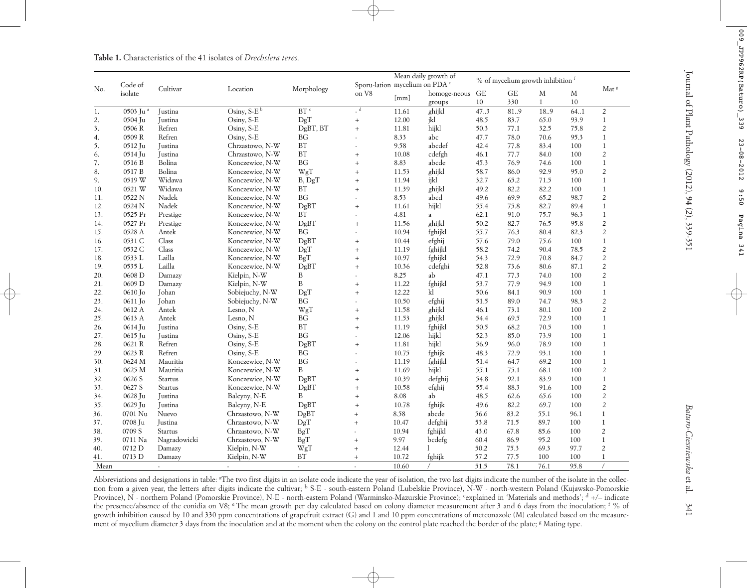|      | Code of<br>isolate   | Cultivar     |                 | Morphology          | Mean daily growth of<br>Sporu-lation mycelium on PDA <sup>e</sup> |       |                        | % of mycelium growth inhibition f |      |              |      |                  |
|------|----------------------|--------------|-----------------|---------------------|-------------------------------------------------------------------|-------|------------------------|-----------------------------------|------|--------------|------|------------------|
| No.  |                      |              | Location        |                     | on V8                                                             |       |                        | $\operatorname{GE}$<br>GE         |      | M            | М    | Mat <sup>8</sup> |
|      |                      |              |                 |                     |                                                                   | [mm]  | homoge-neous<br>groups | 10                                | 330  | $\mathbf{1}$ | 10   |                  |
| 1.   | 0503 Ju <sup>a</sup> | Justina      | Osiny, $S-E^b$  | $BT$ <sup>c</sup>   | $-d$                                                              | 11.61 | ghijkl                 | 473                               | 81.9 | 18.9         | 64.1 | 2                |
| 2.   | 0504 Ju              | Justina      | Osiny, S-E      | DgT                 | $\boldsymbol{+}$                                                  | 12.00 | jkl                    | 48.5                              | 83.7 | 65.0         | 93.9 | $\mathbf{1}$     |
| 3.   | 0506 R               | Refren       | Osiny, S-E      | DgBT, BT            | $+$                                                               | 11.81 | hijkl                  | 50.3                              | 77.1 | 32.5         | 75.8 | $\overline{2}$   |
| 4.   | 0509R                | Refren       | Osiny, S-E      | <b>BG</b>           |                                                                   | 8.33  | abc                    | 47.7                              | 78.0 | 70.6         | 95.3 | $\mathbf{1}$     |
| 5.   | 0512 Ju              | Justina      | Chrzastowo, N-W | <b>BT</b>           | $\sim$                                                            | 9.58  | abcdef                 | 42.4                              | 77.8 | 83.4         | 100  | $\mathbf{1}$     |
| 6.   | 0514 Ju              | Justina      | Chrzastowo, N-W | <b>BT</b>           | $+$                                                               | 10.08 | cdefgh                 | 46.1                              | 77.7 | 84.0         | 100  | $\overline{c}$   |
| 7.   | 0516 B               | Bolina       | Konczewice, N-W | <b>BG</b>           | $^{+}$                                                            | 8.83  | abcde                  | 45.3                              | 76.9 | 74.6         | 100  | $\mathbf{1}$     |
| 8.   | 0517 B               | Bolina       | Konczewice, N-W | WgT                 | $^{+}$                                                            | 11.53 | ghijkl                 | 58.7                              | 86.0 | 92.9         | 95.0 | $\overline{c}$   |
| 9.   | 0519 W               | Widawa       | Konczewice, N-W | B, DgT              | $+$                                                               | 11.94 | ijkl                   | 32.7                              | 65.2 | 71.5         | 100  | $\mathbf{1}$     |
|      |                      |              |                 |                     |                                                                   |       |                        |                                   |      |              |      |                  |
| 10.  | 0521 W               | Widawa       | Konczewice, N-W | $\operatorname{BT}$ | $+$                                                               | 11.39 | ghijkl                 | 49.2                              | 82.2 | 82.2         | 100  | $\mathbf{1}$     |
| 11.  | 0522 N               | Nadek        | Konczewice, N-W | BG                  |                                                                   | 8.53  | abcd                   | 49.6                              | 69.9 | 65.2         | 98.7 | $\overline{c}$   |
| 12.  | 0524 N               | Nadek        | Konczewice, N-W | DgBT                | $\qquad \qquad +$                                                 | 11.61 | hijkl                  | 55.4                              | 75.8 | 82.7         | 89.4 | $\mathbf{1}$     |
| 13.  | 0525 Pr              | Prestige     | Konczewice, N-W | BT                  |                                                                   | 4.81  | $\it a$                | 62.1                              | 91.0 | 75.7         | 96.3 | $\mathbf{1}$     |
| 14.  | 0527 Pr              | Prestige     | Konczewice, N-W | DgBT                | $+$                                                               | 11.56 | ghijkl                 | 50.2                              | 82.7 | 76.5         | 95.8 | $\overline{c}$   |
| 15.  | 0528 A               | Antek        | Konczewice, N-W | <b>BG</b>           |                                                                   | 10.94 | fghijkl                | 55.7                              | 76.3 | 80.4         | 82.3 | $\overline{c}$   |
| 16.  | 0531 C               | Class        | Konczewice, N-W | DgBT                | $+$                                                               | 10.44 | efghij                 | 57.6                              | 79.0 | 75.6         | 100  | $\mathbf{1}$     |
| 17.  | 0532 C               | Class        | Konczewice, N-W | DgT                 | $+$                                                               | 11.19 | fghijkl                | 58.2                              | 74.2 | 90.4         | 78.5 | $\overline{c}$   |
| 18.  | 0533 L               | Lailla       | Konczewice, N-W | BgT                 | $\ddot{}$                                                         | 10.97 | fghijkl                | 54.3                              | 72.9 | 70.8         | 84.7 | $\sqrt{2}$       |
| 19.  | 0535 L               | Lailla       | Konczewice, N-W | DgBT                | $^{+}$                                                            | 10.36 | cdefghi                | 52.8                              | 73.6 | 80.6         | 87.1 | $\overline{c}$   |
| 20.  | 0608 D               | Damazy       | Kielpin, N-W    | B                   | $\overline{a}$                                                    | 8.25  | ab                     | 47.1                              | 77.3 | 74.0         | 100  | $\overline{2}$   |
| 21.  | 0609 D               | Damazy       | Kielpin, N-W    | B                   | $+$                                                               | 11.22 | fghijkl                | 53.7                              | 77.9 | 94.9         | 100  | $\mathbf{1}$     |
| 22.  | 0610 Jo              | Johan        | Sobiejuchy, N-W | DgT                 | $+$                                                               | 12.22 | kl                     | 50.6                              | 84.1 | 90.9         | 100  | $\mathbf{1}$     |
| 23.  | $0611$ Jo            | Johan        | Sobiejuchy, N-W | <b>BG</b>           |                                                                   | 10.50 | efghij                 | 51.5                              | 89.0 | 74.7         | 98.3 | $\overline{c}$   |
| 24.  | 0612 A               | Antek        | Lesno, N        | WgT                 | $\qquad \qquad +$                                                 | 11.58 | ghijkl                 | 46.1                              | 73.1 | 80.1         | 100  | $\overline{2}$   |
| 25.  | 0613 A               | Antek        | Lesno, N        | <b>BG</b>           | $+$                                                               | 11.53 | ghijkl                 | 54.4                              | 69.5 | 72.9         | 100  | $\mathbf{1}$     |
| 26.  | 0614 Ju              | Justina      | Osiny, S-E      | BT                  | $\qquad \qquad +$                                                 | 11.19 | fghijkl                | 50.5                              | 68.2 | 70.5         | 100  | $\mathbf{1}$     |
| 27.  | 0615 Ju              | Justina      | Osiny, S-E      | <b>BG</b>           | $\sim$                                                            | 12.06 | hijkl                  | 52.3                              | 85.0 | 73.9         | 100  | $\mathbf{1}$     |
| 28.  | 0621 R               | Refren       | Osiny, S-E      | DgBT                | $\qquad \qquad +$                                                 | 11.81 | hijkl                  | 56.9                              | 96.0 | 78.9         | 100  | $\mathbf{1}$     |
| 29.  | 0623 R               | Refren       | Osiny, S-E      | <b>BG</b>           |                                                                   | 10.75 | fghijk                 | 48.3                              | 72.9 | 93.1         | 100  | $\mathbf{1}$     |
| 30.  | 0624 M               | Mauritia     | Konczewice, N-W | <b>BG</b>           |                                                                   | 11.19 | fghijkl                | 51.4                              | 64.7 | 69.2         | 100  | $\mathbf{1}$     |
| 31.  | 0625 M               | Mauritia     | Konczewice, N-W | B                   | $+$                                                               | 11.69 | hijkl                  | 55.1                              | 75.1 | 68.1         | 100  | $\overline{c}$   |
| 32.  | 0626 S               | Startus      | Konczewice, N-W | DgBT                | $^{+}$                                                            | 10.39 | defghij                | 54.8                              | 92.1 | 83.9         | 100  | $1\,$            |
| 33.  | 0627 S               | Startus      | Konczewice, N-W | DgBT                | $+$                                                               | 10.58 | efghij                 | 55.4                              | 88.3 | 91.6         | 100  | $\overline{c}$   |
| 34.  | 0628 Ju              | Justina      | Balcyny, N-E    | B                   | $+$                                                               | 8.08  | ab                     | 48.5                              | 62.6 | 65.6         | 100  | $\overline{c}$   |
| 35.  | 0629 Ju              | Justina      | Balcyny, N-E    | DgBT                | $\qquad \qquad +$                                                 | 10.78 | fghijk                 | 49.6                              | 82.2 | 69.7         | 100  | $\overline{c}$   |
|      | 0701 Nu              | Nuevo        | Chrzastowo, N-W |                     |                                                                   | 8.58  | abcde                  |                                   | 83.2 | 55.1         | 96.1 | $\mathbf{1}$     |
| 36.  |                      |              |                 | DgBT                | $+$                                                               |       |                        | 56.6                              |      |              |      |                  |
| 37.  | 0708 Ju              | Justina      | Chrzastowo, N-W | DgT                 | $\ddot{}$                                                         | 10.47 | defghij                | 53.8                              | 71.5 | 89.7         | 100  | $\mathbf{1}$     |
| 38.  | 0709 S               | Startus      | Chrzastowo, N-W | BgT                 |                                                                   | 10.94 | fghijkl                | 43.0                              | 67.8 | 85.6         | 100  | 2                |
| 39.  | 0711 Na              | Nagradowicki | Chrzastowo, N-W | BgT                 | $\ddot{}$                                                         | 9.97  | bcdefg                 | 60.4                              | 86.9 | 95.2         | 100  | $\mathbf{1}$     |
| 40.  | 0712 D               | Damazy       | Kielpin, N-W    | WgT                 | $+$                                                               | 12.44 |                        | 50.2                              | 75.3 | 69.3         | 97.7 | $\overline{c}$   |
| 41.  | 0713 D               | Damazy       | Kielpin, N-W    | BT                  | $+$                                                               | 10.72 | fghijk                 | 57.2                              | 77.5 | 100          | 100  | $\mathbf{1}$     |
| Mean |                      |              |                 |                     |                                                                   | 10.60 |                        | 515                               | 781  | 761          | 95.8 |                  |

**Table 1.** Characteristics of the 41 isolates of *Drechslera teres.*

Abbreviations and designations in table: <sup>a</sup>The two first digits in an isolate code indicate the year of isolation, the two last digits indicate the number of the isolate in the collection from a given year, the letters after digits indicate the cultivar; <sup>b</sup> S-E - south-eastern Poland (Lubelskie Province), N-W - north-western Poland (Kujawsko-Pomorskie Province), N - northern Poland (Pomorskie Province), N-E - north-eastern Poland (Warminsko-Mazurskie Province); cexplained in 'Materials and methods'; d +/- indicate the presence/absence of the conidia on V8; <sup>e</sup> The mean growth per day calculated based on colony diameter measurement after 3 and 6 days from the inoculation; <sup>f</sup> % of growth inhibition caused by 10 and 330 ppm concentrations of grapefruit extract (G) and 1 and 10 ppm concentrations of metconazole (M) calculated based on the measurement of mycelium diameter 3 days from the inoculation and at the moment when the colony on the control plate reached the border of the plate; <sup>g</sup> Mating type.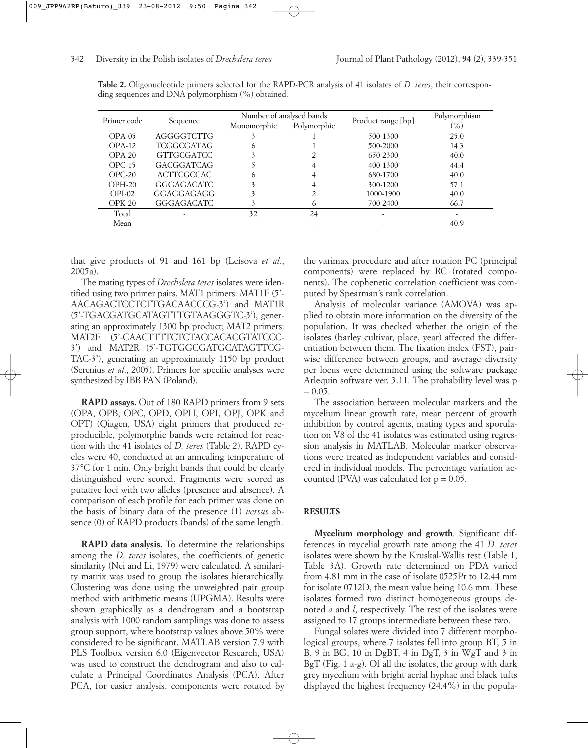| Primer code |                   | Number of analysed bands |             |                    | Polymorphism             |
|-------------|-------------------|--------------------------|-------------|--------------------|--------------------------|
|             | Sequence          | Monomorphic              | Polymorphic | Product range [bp] | $\frac{9}{6}$            |
| $OPA-05$    | AGGGGTCTTG        |                          |             | 500-1300           | 25.0                     |
| $OPA-12$    | TCGGCGATAG        | $\circ$                  |             | 500-2000           | 14.3                     |
| $OPA-20$    | <b>GTTGCGATCC</b> |                          |             | 650-2300           | 40.0                     |
| $OPC-15$    | GACGGATCAG        |                          |             | 400-1300           | 44.4                     |
| $OPC-20$    | ACTTCGCCAC        | (ი                       |             | 680-1700           | 40.0                     |
| $OPH-20$    | <b>GGGAGACATC</b> |                          |             | 300-1200           | 57.1                     |
| $OPI-02$    | GGAGGAGAGG        |                          |             | 1000-1900          | 40.0                     |
| $OPK-20$    | <b>GGGAGACATC</b> |                          | $\circ$     | 700-2400           | 66.7                     |
| Total       |                   | 32                       | 24          |                    | $\overline{\phantom{a}}$ |
| Mean        |                   |                          |             |                    | 40.9                     |

**Table 2.** Oligonucleotide primers selected for the RAPD-PCR analysis of 41 isolates of *D. teres*, their corresponding sequences and DNA polymorphism (%) obtained.

that give products of 91 and 161 bp (Leisova *et al*., 2005a).

The mating types of *Drechslera teres* isolates were identified using two primer pairs. MAT1 primers: MAT1F (5'- AACAGACTCCTCTTGACAACCCG-3') and MAT1R (5'-TGACGATGCATAGTTTGTAAGGGTC-3'), generating an approximately 1300 bp product; MAT2 primers: MAT2F (5'-CAACTTTTCTCTACCACACGTATCCC-3') and MAT2R (5'-TGTGGCGATGCATAGTTCG-TAC-3'), generating an approximately 1150 bp product (Serenius *et al*., 2005). Primers for specific analyses were synthesized by IBB PAN (Poland).

**RAPD assays.** Out of 180 RAPD primers from 9 sets (OPA, OPB, OPC, OPD, OPH, OPI, OPJ, OPK and OPT) (Qiagen, USA) eight primers that produced reproducible, polymorphic bands were retained for reaction with the 41 isolates of *D. teres* (Table 2). RAPD cycles were 40, conducted at an annealing temperature of 37°C for 1 min. Only bright bands that could be clearly distinguished were scored. Fragments were scored as putative loci with two alleles (presence and absence). A comparison of each profile for each primer was done on the basis of binary data of the presence (1) *versus* absence (0) of RAPD products (bands) of the same length.

**RAPD data analysis.** To determine the relationships among the *D. teres* isolates, the coefficients of genetic similarity (Nei and Li, 1979) were calculated. A similarity matrix was used to group the isolates hierarchically. Clustering was done using the unweighted pair group method with arithmetic means (UPGMA). Results were shown graphically as a dendrogram and a bootstrap analysis with 1000 random samplings was done to assess group support, where bootstrap values above 50% were considered to be significant. MATLAB version 7.9 with PLS Toolbox version 6.0 (Eigenvector Research, USA) was used to construct the dendrogram and also to calculate a Principal Coordinates Analysis (PCA). After PCA, for easier analysis, components were rotated by the varimax procedure and after rotation PC (principal components) were replaced by RC (rotated components). The cophenetic correlation coefficient was computed by Spearman's rank correlation.

Analysis of molecular variance (AMOVA) was applied to obtain more information on the diversity of the population. It was checked whether the origin of the isolates (barley cultivar, place, year) affected the differentiation between them. The fixation index (FST), pairwise difference between groups, and average diversity per locus were determined using the software package Arlequin software ver. 3.11. The probability level was p  $= 0.05.$ 

The association between molecular markers and the mycelium linear growth rate, mean percent of growth inhibition by control agents, mating types and sporulation on V8 of the 41 isolates was estimated using regression analysis in MATLAB. Molecular marker observations were treated as independent variables and considered in individual models. The percentage variation accounted (PVA) was calculated for  $p = 0.05$ .

#### **RESULTS**

**Mycelium morphology and growth**. Significant differences in mycelial growth rate among the 41 *D. teres* isolates were shown by the Kruskal-Wallis test (Table 1, Table 3A). Growth rate determined on PDA varied from 4.81 mm in the case of isolate 0525Pr to 12.44 mm for isolate 0712D, the mean value being 10.6 mm. These isolates formed two distinct homogeneous groups denoted *a* and *l*, respectively. The rest of the isolates were assigned to 17 groups intermediate between these two.

Fungal solates were divided into 7 different morphological groups, where 7 isolates fell into group BT, 5 in B, 9 in BG, 10 in DgBT, 4 in DgT, 3 in WgT and 3 in BgT (Fig. 1 a-g). Of all the isolates, the group with dark grey mycelium with bright aerial hyphae and black tufts displayed the highest frequency (24.4%) in the popula-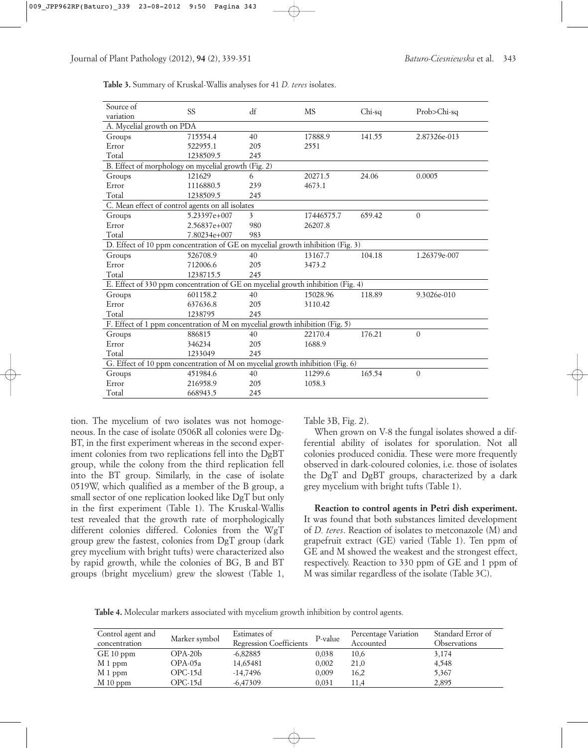| Source of<br>variation                                                          | SS           | df  | <b>MS</b>  | Chi-sq | Prob>Chi-sq  |  |  |  |
|---------------------------------------------------------------------------------|--------------|-----|------------|--------|--------------|--|--|--|
| A. Mycelial growth on PDA                                                       |              |     |            |        |              |  |  |  |
| Groups                                                                          | 715554.4     | 40  | 17888.9    | 141.55 | 2.87326e-013 |  |  |  |
| Error                                                                           | 522955.1     | 205 | 2551       |        |              |  |  |  |
| Total                                                                           | 1238509.5    | 245 |            |        |              |  |  |  |
| B. Effect of morphology on mycelial growth (Fig. 2)                             |              |     |            |        |              |  |  |  |
| Groups                                                                          | 121629       | 6   | 20271.5    | 24.06  | 0.0005       |  |  |  |
| Error                                                                           | 1116880.5    | 239 | 4673.1     |        |              |  |  |  |
| Total                                                                           | 1238509.5    | 245 |            |        |              |  |  |  |
| C. Mean effect of control agents on all isolates                                |              |     |            |        |              |  |  |  |
| Groups                                                                          | 5.23397e+007 | 3   | 17446575.7 | 659.42 | $\Omega$     |  |  |  |
| Error                                                                           | 2.56837e+007 | 980 | 26207.8    |        |              |  |  |  |
| Total                                                                           | 7.80234e+007 | 983 |            |        |              |  |  |  |
| D. Effect of 10 ppm concentration of GE on mycelial growth inhibition (Fig. 3)  |              |     |            |        |              |  |  |  |
| Groups                                                                          | 526708.9     | 40  | 13167.7    | 104.18 | 1.26379e-007 |  |  |  |
| Error                                                                           | 712006.6     | 205 | 3473.2     |        |              |  |  |  |
| Total                                                                           | 1238715.5    | 245 |            |        |              |  |  |  |
| E. Effect of 330 ppm concentration of GE on mycelial growth inhibition (Fig. 4) |              |     |            |        |              |  |  |  |
| Groups                                                                          | 601158.2     | 40  | 15028.96   | 118.89 | 9.3026e-010  |  |  |  |
| Error                                                                           | 637636.8     | 205 | 3110.42    |        |              |  |  |  |
| Total                                                                           | 1238795      | 245 |            |        |              |  |  |  |
| F. Effect of 1 ppm concentration of M on mycelial growth inhibition (Fig. 5)    |              |     |            |        |              |  |  |  |
| Groups                                                                          | 886815       | 40  | 22170.4    | 176.21 | $\Omega$     |  |  |  |
| Error                                                                           | 346234       | 205 | 1688.9     |        |              |  |  |  |
| Total                                                                           | 1233049      | 245 |            |        |              |  |  |  |
| G. Effect of 10 ppm concentration of M on mycelial growth inhibition (Fig. 6)   |              |     |            |        |              |  |  |  |
| Groups                                                                          | 451984.6     | 40  | 11299.6    | 165.54 | $\theta$     |  |  |  |
| Error                                                                           | 216958.9     | 205 | 1058.3     |        |              |  |  |  |
| Total                                                                           | 668943.5     | 245 |            |        |              |  |  |  |

**Table 3.** Summary of Kruskal-Wallis analyses for 41 *D. teres* isolates.

tion. The mycelium of two isolates was not homogeneous. In the case of isolate 0506R all colonies were Dg-BT, in the first experiment whereas in the second experiment colonies from two replications fell into the DgBT group, while the colony from the third replication fell into the BT group. Similarly, in the case of isolate 0519W, which qualified as a member of the B group, a small sector of one replication looked like DgT but only in the first experiment (Table 1). The Kruskal-Wallis test revealed that the growth rate of morphologically different colonies differed. Colonies from the WgT group grew the fastest, colonies from DgT group (dark grey mycelium with bright tufts) were characterized also by rapid growth, while the colonies of BG, B and BT groups (bright mycelium) grew the slowest (Table 1,

Table 3B, Fig. 2).

When grown on V-8 the fungal isolates showed a differential ability of isolates for sporulation. Not all colonies produced conidia. These were more frequently observed in dark-coloured colonies, i.e. those of isolates the DgT and DgBT groups, characterized by a dark grey mycelium with bright tufts (Table 1).

**Reaction to control agents in Petri dish experiment.** It was found that both substances limited development of *D. teres*. Reaction of isolates to metconazole (M) and grapefruit extract (GE) varied (Table 1). Ten ppm of GE and M showed the weakest and the strongest effect, respectively. Reaction to 330 ppm of GE and 1 ppm of M was similar regardless of the isolate (Table 3C).

**Table 4.** Molecular markers associated with mycelium growth inhibition by control agents.

| Control agent and | Marker symbol | Estimates of            | P-value | Percentage Variation | Standard Error of |
|-------------------|---------------|-------------------------|---------|----------------------|-------------------|
| concentration     |               | Regression Coefficients |         | Accounted            | Observations      |
| GE 10 ppm         | $OPA-20b$     | $-6,82885$              | 0,038   | 10,6                 | 3,174             |
| M 1 ppm           | OPA-05a       | 14,65481                | 0,002   | 21,0                 | 4,548             |
| M 1 ppm           | $OPC-15d$     | $-14,7496$              | 0,009   | 16,2                 | 5,367             |
| $M_10$ ppm        | $OPC-15d$     | $-6,47309$              | 0,031   | 11,4                 | 2,895             |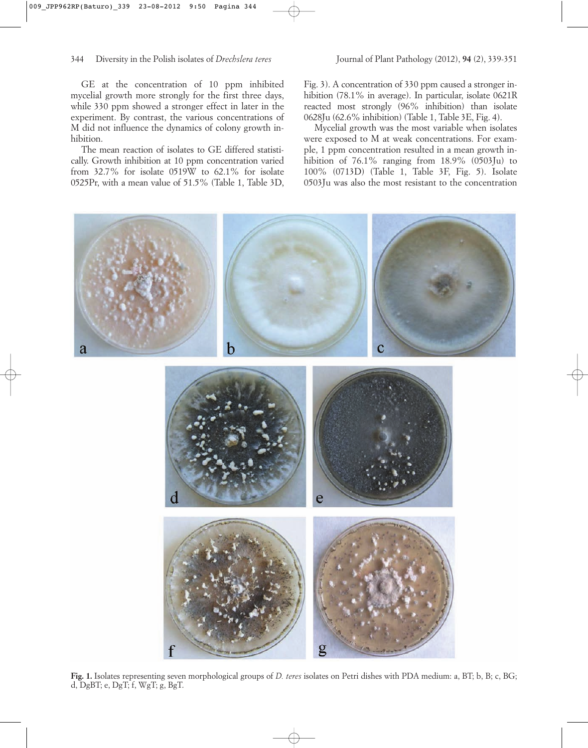GE at the concentration of 10 ppm inhibited mycelial growth more strongly for the first three days, while 330 ppm showed a stronger effect in later in the experiment. By contrast, the various concentrations of M did not influence the dynamics of colony growth inhibition.

The mean reaction of isolates to GE differed statistically. Growth inhibition at 10 ppm concentration varied from 32.7% for isolate 0519W to 62.1% for isolate 0525Pr, with a mean value of 51.5% (Table 1, Table 3D,

Fig. 3). A concentration of 330 ppm caused a stronger inhibition (78.1% in average). In particular, isolate 0621R reacted most strongly (96% inhibition) than isolate 0628Ju (62.6% inhibition) (Table 1, Table 3E, Fig. 4).

Mycelial growth was the most variable when isolates were exposed to M at weak concentrations. For example, 1 ppm concentration resulted in a mean growth inhibition of  $76.1\%$  ranging from  $18.9\%$  (0503Ju) to 100% (0713D) (Table 1, Table 3F, Fig. 5). Isolate 0503Ju was also the most resistant to the concentration



**Fig. 1.** Isolates representing seven morphological groups of *D. teres* isolates on Petri dishes with PDA medium: a, BT; b, B; c, BG; d, DgBT; e, DgT; f, WgT; g, BgT.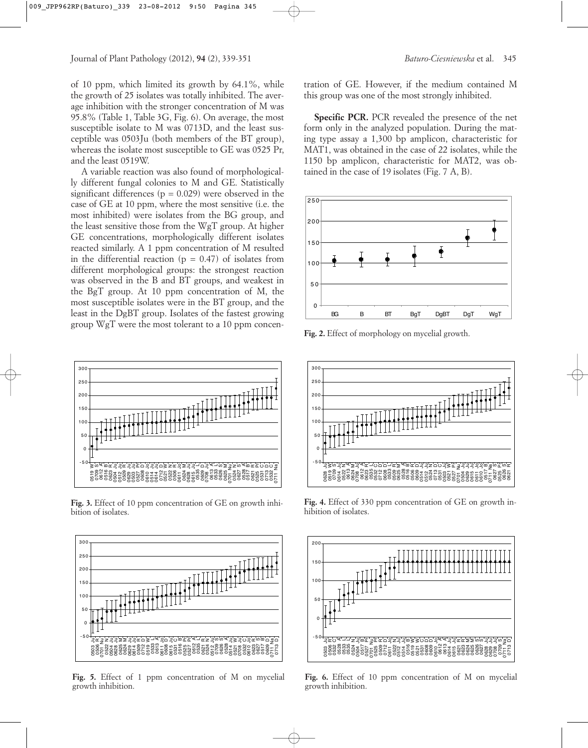of 10 ppm, which limited its growth by 64.1%, while the growth of 25 isolates was totally inhibited. The average inhibition with the stronger concentration of M was 95.8% (Table 1, Table 3G, Fig. 6). On average, the most susceptible isolate to M was 0713D, and the least susceptible was 0503Ju (both members of the BT group), whereas the isolate most susceptible to GE was 0525 Pr, and the least 0519W.

A variable reaction was also found of morphologically different fungal colonies to M and GE. Statistically significant differences ( $p = 0.029$ ) were observed in the case of GE at 10 ppm, where the most sensitive (i.e. the most inhibited) were isolates from the BG group, and the least sensitive those from the WgT group. At higher GE concentrations, morphologically different isolates reacted similarly. A 1 ppm concentration of M resulted in the differential reaction ( $p = 0.47$ ) of isolates from different morphological groups: the strongest reaction was observed in the B and BT groups, and weakest in the BgT group. At 10 ppm concentration of M, the most susceptible isolates were in the BT group, and the least in the DgBT group. Isolates of the fastest growing group WgT were the most tolerant to a 10 ppm concen-



**Fig. 3.** Effect of 10 ppm concentration of GE on growth inhibition of isolates.



Fig. 5. Effect of 1 ppm concentration of M on mycelial growth inhibition.

tration of GE. However, if the medium contained M this group was one of the most strongly inhibited.

**Specific PCR.** PCR revealed the presence of the net form only in the analyzed population. During the mating type assay a 1,300 bp amplicon, characteristic for MAT1, was obtained in the case of 22 isolates, while the 1150 bp amplicon, characteristic for MAT2, was obtained in the case of 19 isolates (Fig. 7 A, B).



**Fig. 2.** Effect of morphology on mycelial growth.



**Fig. 4.** Effect of 330 ppm concentration of GE on growth inhibition of isolates.



**Fig. 6.** Effect of 10 ppm concentration of M on mycelial growth inhibition.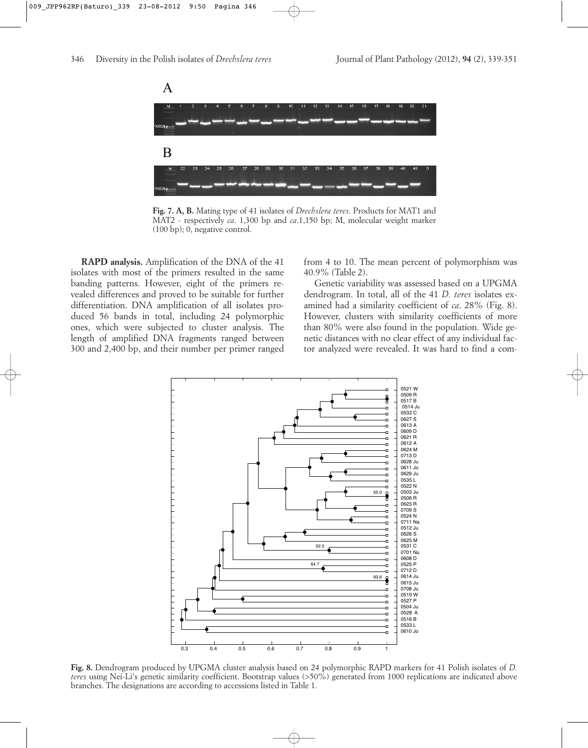

**Fig. 7. A, B.** Mating type of 41 isolates of *Drechslera teres*. Products for MAT1 and MAT2 - respectively *ca*. 1,300 bp and *ca*.1,150 bp; M, molecular weight marker (100 bp); 0, negative control.

**RAPD analysis.** Amplification of the DNA of the 41 isolates with most of the primers resulted in the same banding patterns. However, eight of the primers revealed differences and proved to be suitable for further differentiation. DNA amplification of all isolates produced 56 bands in total, including 24 polymorphic ones, which were subjected to cluster analysis. The length of amplified DNA fragments ranged between 300 and 2,400 bp, and their number per primer ranged

from 4 to 10. The mean percent of polymorphism was 40.9% (Table 2).

Genetic variability was assessed based on a UPGMA dendrogram. In total, all of the 41 *D. teres* isolates examined had a similarity coefficient of *ca*. 28% (Fig. 8). However, clusters with similarity coefficients of more than 80% were also found in the population. Wide genetic distances with no clear effect of any individual factor analyzed were revealed. It was hard to find a com-



**Fig. 8.** Dendrogram produced by UPGMA cluster analysis based on 24 polymorphic RAPD markers for 41 Polish isolates of *D. teres* using Nei-Li's genetic similarity coefficient. Bootstrap values (>50%) generated from 1000 replications are indicated above branches. The designations are according to accessions listed in Table 1.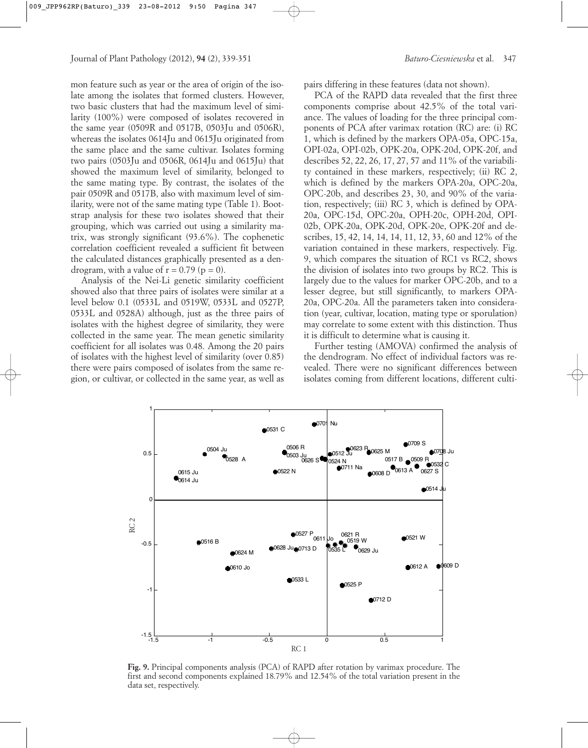mon feature such as year or the area of origin of the isolate among the isolates that formed clusters. However, two basic clusters that had the maximum level of similarity (100%) were composed of isolates recovered in the same year (0509R and 0517B, 0503Ju and 0506R), whereas the isolates 0614Ju and 0615Ju originated from the same place and the same cultivar. Isolates forming two pairs (0503Ju and 0506R, 0614Ju and 0615Ju) that showed the maximum level of similarity, belonged to the same mating type. By contrast, the isolates of the pair 0509R and 0517B, also with maximum level of similarity, were not of the same mating type (Table 1). Bootstrap analysis for these two isolates showed that their grouping, which was carried out using a similarity matrix, was strongly significant (93.6%). The cophenetic correlation coefficient revealed a sufficient fit between the calculated distances graphically presented as a dendrogram, with a value of  $r = 0.79$  ( $p = 0$ ).

Analysis of the Nei-Li genetic similarity coefficient showed also that three pairs of isolates were similar at a level below 0.1 (0533L and 0519W, 0533L and 0527P, 0533L and 0528A) although, just as the three pairs of isolates with the highest degree of similarity, they were collected in the same year. The mean genetic similarity coefficient for all isolates was 0.48. Among the 20 pairs of isolates with the highest level of similarity (over 0.85) there were pairs composed of isolates from the same region, or cultivar, or collected in the same year, as well as

pairs differing in these features (data not shown).

PCA of the RAPD data revealed that the first three components comprise about 42.5% of the total variance. The values of loading for the three principal components of PCA after varimax rotation (RC) are: (i) RC 1, which is defined by the markers OPA-05a, OPC-15a, OPI-02a, OPI-02b, OPK-20a, OPK-20d, OPK-20f, and describes 52, 22, 26, 17, 27, 57 and 11% of the variability contained in these markers, respectively; (ii) RC 2, which is defined by the markers OPA-20a, OPC-20a, OPC-20b, and describes 23, 30, and 90% of the variation, respectively; (iii) RC 3, which is defined by OPA-20a, OPC-15d, OPC-20a, OPH-20c, OPH-20d, OPI-02b, OPK-20a, OPK-20d, OPK-20e, OPK-20f and describes, 15, 42, 14, 14, 14, 11, 12, 33, 60 and 12% of the variation contained in these markers, respectively. Fig. 9, which compares the situation of RC1 vs RC2, shows the division of isolates into two groups by RC2. This is largely due to the values for marker OPC-20b, and to a lesser degree, but still significantly, to markers OPA-20a, OPC-20a. All the parameters taken into consideration (year, cultivar, location, mating type or sporulation) may correlate to some extent with this distinction. Thus it is difficult to determine what is causing it.

Further testing (AMOVA) confirmed the analysis of the dendrogram. No effect of individual factors was revealed. There were no significant differences between isolates coming from different locations, different culti-



**Fig. 9.** Principal components analysis (PCA) of RAPD after rotation by varimax procedure. The first and second components explained 18.79% and 12.54% of the total variation present in the data set, respectively.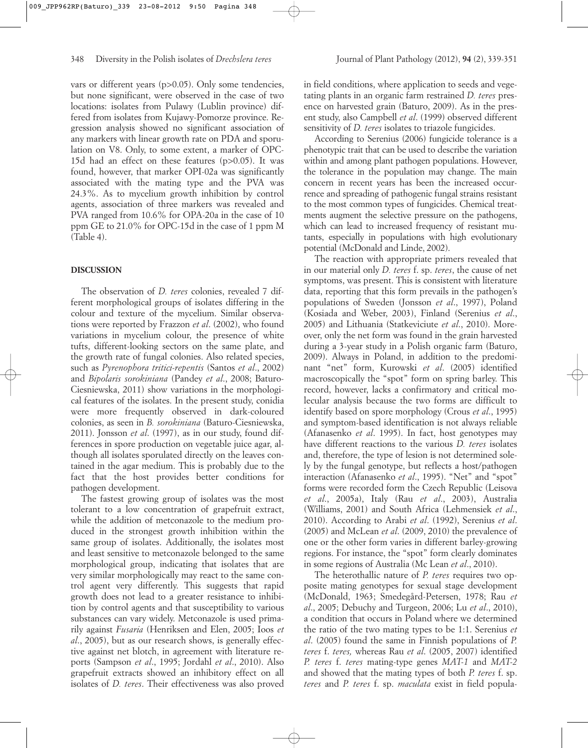vars or different years (p>0.05). Only some tendencies, but none significant, were observed in the case of two locations: isolates from Pulawy (Lublin province) differed from isolates from Kujawy-Pomorze province. Regression analysis showed no significant association of any markers with linear growth rate on PDA and sporulation on V8. Only, to some extent, a marker of OPC-15d had an effect on these features (p>0.05). It was found, however, that marker OPI-02a was significantly associated with the mating type and the PVA was 24.3%. As to mycelium growth inhibition by control agents, association of three markers was revealed and PVA ranged from 10.6% for OPA-20a in the case of 10 ppm GE to 21.0% for OPC-15d in the case of 1 ppm M (Table 4).

# **DISCUSSION**

The observation of *D. teres* colonies, revealed 7 different morphological groups of isolates differing in the colour and texture of the mycelium. Similar observations were reported by Frazzon *et al*. (2002), who found variations in mycelium colour, the presence of white tufts, different-looking sectors on the same plate, and the growth rate of fungal colonies. Also related species, such as *Pyrenophora tritici-repentis* (Santos *et al*., 2002) and *Bipolaris sorokiniana* (Pandey *et al*., 2008; Baturo-Ciesniewska, 2011) show variations in the morphological features of the isolates. In the present study, conidia were more frequently observed in dark-coloured colonies, as seen in *B. sorokiniana* (Baturo-Ciesniewska, 2011). Jonsson *et al*. (1997), as in our study, found differences in spore production on vegetable juice agar, although all isolates sporulated directly on the leaves contained in the agar medium. This is probably due to the fact that the host provides better conditions for pathogen development.

The fastest growing group of isolates was the most tolerant to a low concentration of grapefruit extract, while the addition of metconazole to the medium produced in the strongest growth inhibition within the same group of isolates. Additionally, the isolates most and least sensitive to metconazole belonged to the same morphological group, indicating that isolates that are very similar morphologically may react to the same control agent very differently. This suggests that rapid growth does not lead to a greater resistance to inhibition by control agents and that susceptibility to various substances can vary widely. Metconazole is used primarily against *Fusaria* (Henriksen and Elen, 2005; Ioos *et al*., 2005), but as our research shows, is generally effective against net blotch, in agreement with literature reports (Sampson *et al*., 1995; Jordahl *et al*., 2010). Also grapefruit extracts showed an inhibitory effect on all isolates of *D. teres*. Their effectiveness was also proved

in field conditions, where application to seeds and vegetating plants in an organic farm restrained *D. teres* presence on harvested grain (Baturo, 2009). As in the present study, also Campbell *et al*. (1999) observed different sensitivity of *D. teres* isolates to triazole fungicides.

According to Serenius (2006) fungicide tolerance is a phenotypic trait that can be used to describe the variation within and among plant pathogen populations. However, the tolerance in the population may change. The main concern in recent years has been the increased occurrence and spreading of pathogenic fungal strains resistant to the most common types of fungicides. Chemical treatments augment the selective pressure on the pathogens, which can lead to increased frequency of resistant mutants, especially in populations with high evolutionary potential (McDonald and Linde, 2002).

The reaction with appropriate primers revealed that in our material only *D. teres* f. sp. *teres*, the cause of net symptoms, was present. This is consistent with literature data, reporting that this form prevails in the pathogen's populations of Sweden (Jonsson *et al*., 1997), Poland (Kosiada and Weber, 2003), Finland (Serenius *et al*., 2005) and Lithuania (Statkeviciute *et al*., 2010). Moreover, only the net form was found in the grain harvested during a 3-year study in a Polish organic farm (Baturo, 2009). Always in Poland, in addition to the predominant "net" form, Kurowski *et al*. (2005) identified macroscopically the "spot" form on spring barley. This record, however, lacks a confirmatory and critical molecular analysis because the two forms are difficult to identify based on spore morphology (Crous *et al*., 1995) and symptom-based identification is not always reliable (Afanasenko *et al*. 1995). In fact, host genotypes may have different reactions to the various *D. teres* isolates and, therefore, the type of lesion is not determined solely by the fungal genotype, but reflects a host/pathogen interaction (Afanasenko *et al*., 1995). "Net" and "spot" forms were recorded form the Czech Republic (Leisova *et al*., 2005a), Italy (Rau *et al*., 2003), Australia (Williams, 2001) and South Africa (Lehmensiek *et al*., 2010). According to Arabi *et al*. (1992), Serenius *et al*. (2005) and McLean *et al*. (2009, 2010) the prevalence of one or the other form varies in different barley-growing regions. For instance, the "spot" form clearly dominates in some regions of Australia (Mc Lean *et al*., 2010).

The heterothallic nature of *P. teres* requires two opposite mating genotypes for sexual stage development (McDonald, 1963; Smedegård-Petersen, 1978; Rau *et al*., 2005; Debuchy and Turgeon, 2006; Lu *et al*., 2010), a condition that occurs in Poland where we determined the ratio of the two mating types to be 1:1. Serenius *et al*. (2005) found the same in Finnish populations of *P. teres* f. *teres,* whereas Rau *et al*. (2005, 2007) identified *P. teres* f. *teres* mating-type genes *MAT-1* and *MAT-2* and showed that the mating types of both *P. teres* f. sp. *teres* and *P. teres* f. sp. *maculata* exist in field popula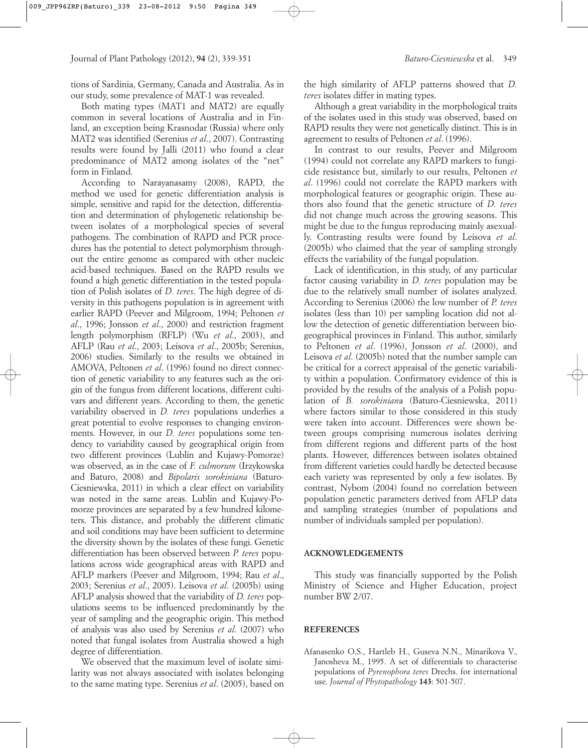tions of Sardinia, Germany, Canada and Australia. As in our study, some prevalence of MAT-1 was revealed.

Both mating types (MAT1 and MAT2) are equally common in several locations of Australia and in Finland, an exception being Krasnodar (Russia) where only MAT2 was identified (Serenius *et al*., 2007). Contrasting results were found by Jalli (2011) who found a clear predominance of MAT2 among isolates of the "net" form in Finland.

According to Narayanasamy (2008), RAPD, the method we used for genetic differentiation analysis is simple, sensitive and rapid for the detection, differentiation and determination of phylogenetic relationship between isolates of a morphological species of several pathogens. The combination of RAPD and PCR procedures has the potential to detect polymorphism throughout the entire genome as compared with other nucleic acid-based techniques. Based on the RAPD results we found a high genetic differentiation in the tested population of Polish isolates of *D. teres*. The high degree of diversity in this pathogens population is in agreement with earlier RAPD (Peever and Milgroom, 1994; Peltonen *et al*., 1996; Jonsson *et al*., 2000) and restriction fragment length polymorphism (RFLP) (Wu *et al*., 2003), and AFLP (Rau *et al*., 2003; Leisova *et al*., 2005b; Serenius, 2006) studies. Similarly to the results we obtained in AMOVA, Peltonen *et al*. (1996) found no direct connection of genetic variability to any features such as the origin of the fungus from different locations, different cultivars and different years. According to them, the genetic variability observed in *D. teres* populations underlies a great potential to evolve responses to changing environments. However, in our *D. teres* populations some tendency to variability caused by geographical origin from two different provinces (Lublin and Kujawy-Pomorze) was observed, as in the case of *F. culmorum* (Irzykowska and Baturo, 2008) and *Bipolaris sorokiniana* (Baturo-Ciesniewska, 2011) in which a clear effect on variability was noted in the same areas. Lublin and Kujawy-Pomorze provinces are separated by a few hundred kilometers. This distance, and probably the different climatic and soil conditions may have been sufficient to determine the diversity shown by the isolates of these fungi. Genetic differentiation has been observed between *P. teres* populations across wide geographical areas with RAPD and AFLP markers (Peever and Milgroom, 1994; Rau *et al*., 2003; Serenius *et al*., 2005). Leisova *et al*. (2005b) using AFLP analysis showed that the variability of *D. teres* populations seems to be influenced predominantly by the year of sampling and the geographic origin. This method of analysis was also used by Serenius *et al*. (2007) who noted that fungal isolates from Australia showed a high degree of differentiation.

We observed that the maximum level of isolate similarity was not always associated with isolates belonging to the same mating type. Serenius *et al*. (2005), based on the high similarity of AFLP patterns showed that *D. teres* isolates differ in mating types.

Although a great variability in the morphological traits of the isolates used in this study was observed, based on RAPD results they were not genetically distinct. This is in agreement to results of Peltonen *et al*. (1996).

In contrast to our results, Peever and Milgroom (1994) could not correlate any RAPD markers to fungicide resistance but, similarly to our results, Peltonen *et al*. (1996) could not correlate the RAPD markers with morphological features or geographic origin. These authors also found that the genetic structure of *D. teres* did not change much across the growing seasons. This might be due to the fungus reproducing mainly asexually. Contrasting results were found by Leisova *et al*. (2005b) who claimed that the year of sampling strongly effects the variability of the fungal population.

Lack of identification, in this study, of any particular factor causing variability in *D. teres* population may be due to the relatively small number of isolates analyzed. According to Serenius (2006) the low number of *P. teres* isolates (less than 10) per sampling location did not allow the detection of genetic differentiation between biogeographical provinces in Finland. This author, similarly to Peltonen *et al*. (1996), Jonsson *et al*. (2000), and Leisova *et al*. (2005b) noted that the number sample can be critical for a correct appraisal of the genetic variability within a population. Confirmatory evidence of this is provided by the results of the analysis of a Polish population of *B. sorokinian*a (Baturo-Ciesniewska, 2011) where factors similar to those considered in this study were taken into account. Differences were shown between groups comprising numerous isolates deriving from different regions and different parts of the host plants. However, differences between isolates obtained from different varieties could hardly be detected because each variety was represented by only a few isolates. By contrast, Nybom (2004) found no correlation between population genetic parameters derived from AFLP data and sampling strategies (number of populations and number of individuals sampled per population).

### **ACKNOWLEDGEMENTS**

This study was financially supported by the Polish Ministry of Science and Higher Education, project number BW 2/07.

#### **REFERENCES**

Afanasenko O.S., Hartleb H., Guseva N.N., Minarikova V., Janosheva M., 1995. A set of differentials to characterise populations of *Pyrenophora teres* Drechs. for international use. *Journal of Phytopathology* **143**: 501-507.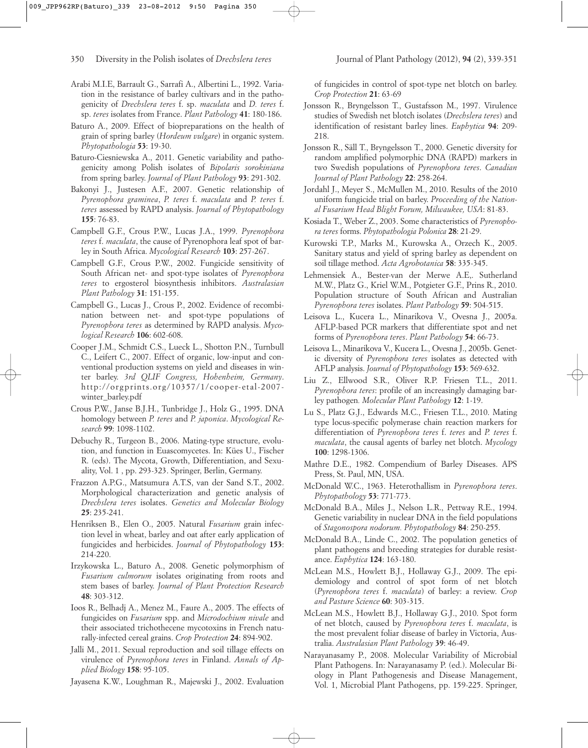- Arabi M.I.E, Barrault G., Sarrafi A., Albertini L., 1992. Variation in the resistance of barley cultivars and in the pathogenicity of *Drechslera teres* f. sp. *maculata* and *D. teres* f. sp. *teres* isolates from France. *Plant Pathology* **41**: 180-186.
- Baturo A., 2009. Effect of biopreparations on the health of grain of spring barley (*Hordeum vulgare*) in organic system. *Phytopathologia* **53**: 19-30.
- Baturo-Ciesniewska A., 2011. Genetic variability and pathogenicity among Polish isolates of *Bipolaris sorokiniana* from spring barley. *Journal of Plant Pathology* **93**: 291-302.
- Bakonyi J., Justesen A.F., 2007. Genetic relationship of *Pyrenophora graminea*, *P. teres* f. *maculata* and *P. teres* f. *teres* assessed by RAPD analysis. *Journal of Phytopathology* **155**: 76-83.
- Campbell G.F., Crous P.W., Lucas J.A., 1999. *Pyrenophora teres* f. *maculata*, the cause of Pyrenophora leaf spot of barley in South Africa. *Mycological Research* **103**: 257-267.
- Campbell G.F., Crous P.W., 2002. Fungicide sensitivity of South African net- and spot-type isolates of *Pyrenophora teres* to ergosterol biosynthesis inhibitors. *Australasian Plant Pathology* **31**: 151-155.
- Campbell G., Lucas J., Crous P., 2002. Evidence of recombination between net- and spot-type populations of *Pyrenophora teres* as determined by RAPD analysis. *Mycological Research* **106**: 602-608.
- Cooper J.M., Schmidt C.S., Lueck L., Shotton P.N., Turnbull C., Leifert C., 2007. Effect of organic, low-input and conventional production systems on yield and diseases in winter barley. *3rd QLIF Congress, Hohenheim, Germany*. http://orgprints.org/10357/1/cooper-etal-2007 winter\_barley.pdf
- Crous P.W., Janse B.J.H., Tunbridge J., Holz G., 1995. DNA homology between *P. teres* and *P. japonica*. *Mycological Research* **99**: 1098-1102.
- Debuchy R., Turgeon B., 2006. Mating-type structure, evolution, and function in Euascomycetes. In: Kües U., Fischer R. (eds). The Mycota, Growth, Differentiation, and Sexuality, Vol. 1 , pp. 293-323. Springer, Berlin, Germany.
- Frazzon A.P.G., Matsumura A.T.S, van der Sand S.T., 2002. Morphological characterization and genetic analysis of *Drechslera teres* isolates. *Genetics and Molecular Biology* **25**: 235-241.
- Henriksen B., Elen O., 2005. Natural *Fusarium* grain infection level in wheat, barley and oat after early application of fungicides and herbicides. *Journal of Phytopathology* **153**: 214-220.
- Irzykowska L., Baturo A., 2008. Genetic polymorphism of *Fusarium culmorum* isolates originating from roots and stem bases of barley. *Journal of Plant Protection Research* **48**: 303-312.
- Ioos R., Belhadj A., Menez M., Faure A., 2005. The effects of fungicides on *Fusarium* spp. and *Microdochium nivale* and their associated trichothecene mycotoxins in French naturally-infected cereal grains. *Crop Protection* **24**: 894-902.
- Jalli M., 2011. Sexual reproduction and soil tillage effects on virulence of *Pyrenophora teres* in Finland. *Annals of Applied Biology* **158**: 95-105.
- Jayasena K.W., Loughman R., Majewski J., 2002. Evaluation

of fungicides in control of spot-type net blotch on barley. *Crop Protection* **21**: 63-69

- Jonsson R., Bryngelsson T., Gustafsson M., 1997. Virulence studies of Swedish net blotch isolates (*Drechslera teres*) and identification of resistant barley lines. *Euphytica* **94**: 209- 218.
- Jonsson R., Säll T., Bryngelsson T., 2000. Genetic diversity for random amplified polymorphic DNA (RAPD) markers in two Swedish populations of *Pyrenophora teres*. *Canadian Journal of Plant Pathology* **22**: 258-264.
- Jordahl J., Meyer S., McMullen M., 2010. Results of the 2010 uniform fungicide trial on barley. *Proceeding of the National Fusarium Head Blight Forum, Milwaukee, USA*: 81-83.
- Kosiada T., Weber Z., 2003. Some characteristics of *Pyrenophora teres* forms. *Phytopathologia Polonica* **28**: 21-29.
- Kurowski T.P., Marks M., Kurowska A., Orzech K., 2005. Sanitary status and yield of spring barley as dependent on soil tillage method. *Acta Agrobotanica* **58**: 335-345.
- Lehmensiek A., Bester-van der Merwe A.E,. Sutherland M.W., Platz G., Kriel W.M., Potgieter G.F., Prins R., 2010. Population structure of South African and Australian *Pyrenophora teres* isolates. *Plant Pathology* **59**: 504-515.
- Leisova L., Kucera L., Minarikova V., Ovesna J., 2005a. AFLP-based PCR markers that differentiate spot and net forms of *Pyrenophora teres*. *Plant Pathology* **54**: 66-73.
- Leisova L., Minarikova V., Kucera L., Ovesna J., 2005b. Genetic diversity of *Pyrenophora teres* isolates as detected with AFLP analysis. *Journal of Phytopathology* **153**: 569-632.
- Liu Z., Ellwood S.R., Oliver R.P. Friesen T.L., 2011. *Pyrenophora teres*: profile of an increasingly damaging barley pathogen*. Molecular Plant Pathology* **12**: 1-19.
- Lu S., Platz G.J., Edwards M.C., Friesen T.L., 2010. Mating type locus-specific polymerase chain reaction markers for differentiation of *Pyrenophora teres* f. *teres* and *P. teres* f. *maculata*, the causal agents of barley net blotch. *Mycology* **100**: 1298-1306.
- Mathre D.E., 1982. Compendium of Barley Diseases. APS Press, St. Paul, MN, USA.
- McDonald W.C., 1963. Heterothallism in *Pyrenophora teres*. *Phytopathology* **53**: 771-773.
- McDonald B.A., Miles J., Nelson L.R., Pettway R.E., 1994. Genetic variability in nuclear DNA in the field populations of *Stagonospora nodorum. Phytopathology* **84**: 250-255.
- McDonald B.A., Linde C., 2002. The population genetics of plant pathogens and breeding strategies for durable resistance. *Euphytica* **124**: 163-180.
- McLean M.S., Howlett B.J., Hollaway G.J., 2009. The epidemiology and control of spot form of net blotch (*Pyrenophora teres* f. *maculata*) of barley: a review. *Crop and Pasture Science* **60**: 303-315.
- McLean M.S., Howlett B.J., Hollaway G.J., 2010. Spot form of net blotch, caused by *Pyrenophora teres* f. *maculata*, is the most prevalent foliar disease of barley in Victoria, Australia. *Australasian Plant Pathology* **39**: 46-49.
- Narayanasamy P., 2008. Molecular Variability of Microbial Plant Pathogens. In: Narayanasamy P. (ed.). Molecular Biology in Plant Pathogenesis and Disease Management, Vol. 1, Microbial Plant Pathogens, pp. 159-225. Springer,